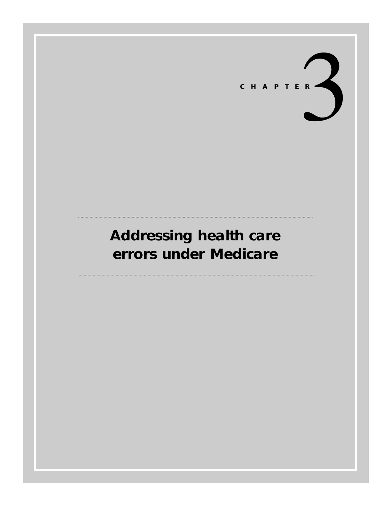

# **Addressing health care errors under Medicare**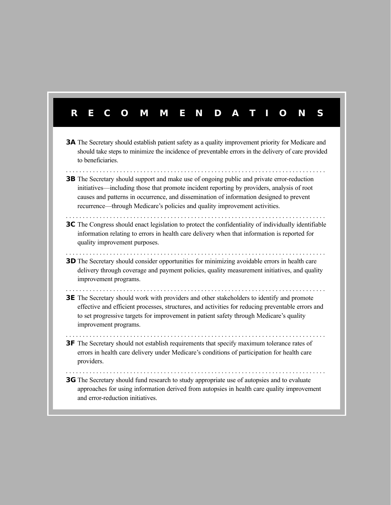# **RECOMMENDA TIONS 3A** The Secretary should establish patient safety as a quality improvement priority for Medicare and should take steps to minimize the incidence of preventable errors in the delivery of care provided to beneficiaries. . . . . . . . . . . . . . . . . . . . . . . . . . . . . . . . . . . . . . . . . . . . . . . . . . . . . . . . . . . . . . . . . . . . . . . . . . . . . . **3B** The Secretary should support and make use of ongoing public and private error-reduction initiatives—including those that promote incident reporting by providers, analysis of root causes and patterns in occurrence, and dissemination of information designed to prevent recurrence—through Medicare's policies and quality improvement activities. **3C** The Congress should enact legislation to protect the confidentiality of individually identifiable information relating to errors in health care delivery when that information is reported for quality improvement purposes. . . . . . . . . . . . . . . . . . . . . . . . . . . . . . . . . . . . . . . . . . . . . . . . . . . . . . . . . . . . . . . . . . . . . . . . . . . . . . **3D** The Secretary should consider opportunities for minimizing avoidable errors in health care delivery through coverage and payment policies, quality measurement initiatives, and quality improvement programs. . . . . . . . . . . . . . . . . . . . . . . . . . . . . . . . . . . . . . . . . . . . . . . . . . . . . . . . . . . . . . . . . . . . . . . . . . . . . . **3E** The Secretary should work with providers and other stakeholders to identify and promote effective and efficient processes, structures, and activities for reducing preventable errors and to set progressive targets for improvement in patient safety through Medicare's quality improvement programs. . . . . . . . . . . . . . . . . . . . . . . . . . . . . . . . . . . . . . . . . . . . . . . . . . . . . . . . . . . . . . . . . . . . . . . . . . . . . . **3F** The Secretary should not establish requirements that specify maximum tolerance rates of errors in health care delivery under Medicare's conditions of participation for health care providers. . . . . . . . . . . . . . . . . . . . . . . . . . . . . . . . . . . . . . . . . . . . . . . . . . . . . . . . . . . . . . . . . . . . . . . . . . . . . . **3G** The Secretary should fund research to study appropriate use of autopsies and to evaluate approaches for using information derived from autopsies in health care quality improvement and error-reduction initiatives.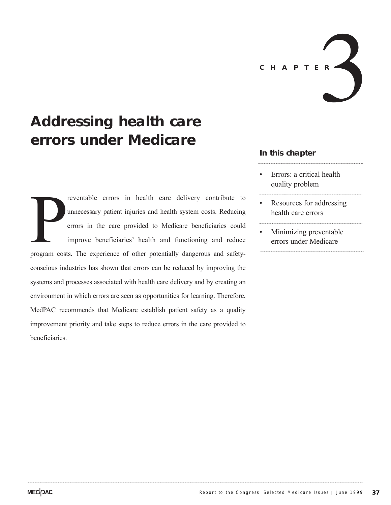

# **Addressing health care errors under Medicare**

program cost reventable errors in health care delivery contribute to unnecessary patient injuries and health system costs. Reducing errors in the care provided to Medicare beneficiaries could improve beneficiaries' health and functioning and reduce program costs. The experience of other potentially dangerous and safetyconscious industries has shown that errors can be reduced by improving the systems and processes associated with health care delivery and by creating an environment in which errors are seen as opportunities for learning. Therefore, MedPAC recommends that Medicare establish patient safety as a quality improvement priority and take steps to reduce errors in the care provided to beneficiaries.

# **In this chapter**

- Errors: a critical health quality problem
- Resources for addressing health care errors
- Minimizing preventable errors under Medicare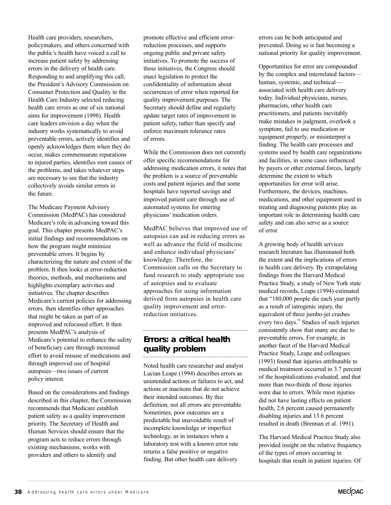Health care providers, researchers, policymakers, and others concerned with the public's health have voiced a call to increase patient safety by addressing errors in the delivery of health care. Responding to and amplifying this call, the President's Advisory Commission on Consumer Protection and Quality in the Health Care Industry selected reducing health care errors as one of six national aims for improvement (1998). Health care leaders envision a day when the industry works systematically to avoid preventable errors, actively identifies and openly acknowledges them when they do occur, makes commensurate reparations to injured parties, identifies root causes of the problems, and takes whatever steps are necessary to see that the industry collectively avoids similar errors in the future.

The Medicare Payment Advisory Commission (MedPAC) has considered Medicare's role in advancing toward this goal. This chapter presents MedPAC's initial findings and recommendations on how the program might minimize preventable errors. It begins by characterizing the nature and extent of the problem. It then looks at error-reduction theories, methods, and mechanisms and highlights exemplary activities and initiatives. The chapter describes Medicare's current policies for addressing errors, then identifies other approaches that might be taken as part of an improved and refocused effort. It then presents MedPAC's analysis of Medicare's potential to enhance the safety of beneficiary care through increased effort to avoid misuse of medications and through improved use of hospital autopsies—two issues of current policy interest.

Based on the considerations and findings described in this chapter, the Commission recommends that Medicare establish patient safety as a quality improvement priority. The Secretary of Health and Human Services should ensure that the program acts to reduce errors through existing mechanisms, works with providers and others to identify and

promote effective and efficient errorreduction processes, and supports ongoing public and private safety initiatives. To promote the success of these initiatives, the Congress should enact legislation to protect the confidentiality of information about occurrences of error when reported for quality improvement purposes. The Secretary should define and regularly update target rates of improvement in patient safety, rather than specify and enforce maximum tolerance rates of errors.

While the Commission does not currently offer specific recommendations for addressing medication errors, it notes that the problem is a source of preventable costs and patient injuries and that some hospitals have reported savings and improved patient care through use of automated systems for entering physicians' medication orders.

MedPAC believes that improved use of autopsies can aid in reducing errors as well as advance the field of medicine and enhance individual physicians' knowledge. Therefore, the Commission calls on the Secretary to fund research to study appropriate use of autopsies and to evaluate approaches for using information derived from autopsies in health care quality improvement and errorreduction initiatives.

# **Errors: a critical health quality problem**

Noted health care researcher and analyst Lucian Leape (1994) describes errors as unintended actions or failures to act, and actions or inactions that do not achieve their intended outcomes. By this definition, not all errors are preventable. Sometimes, poor outcomes are a predictable but unavoidable result of incomplete knowledge or imperfect technology, as in instances when a laboratory test with a known error rate returns a false positive or negative finding. But other health care delivery

errors can be both anticipated and prevented. Doing so is fast becoming a national priority for quality improvement.

Opportunities for error are compounded by the complex and interrelated factors human, systemic, and technical associated with health care delivery today. Individual physicians, nurses, pharmacists, other health care practitioners, and patients inevitably make mistakes in judgment, overlook a symptom, fail to use medication or equipment properly, or misinterpret a finding. The health care processes and systems used by health care organizations and facilities, in some cases influenced by payers or other external forces, largely determine the extent to which opportunities for error will arise. Furthermore, the devices, machines, medications, and other equipment used in treating and diagnosing patients play an important role in determining health care safety and can also serve as a source of error.

A growing body of health services research literature has illuminated both the extent and the implications of errors in health care delivery. By extrapolating findings from the Harvard Medical Practice Study, a study of New York state medical records, Leape (1994) estimated that "180,000 people die each year partly as a result of iatrogenic injury, the equivalent of three jumbo-jet crashes every two days." Studies of such injuries consistently show that many are due to preventable errors. For example, in another facet of the Harvard Medical Practice Study, Leape and colleagues (1993) found that injuries attributable to medical treatment occurred in 3.7 percent of the hospitalizations evaluated, and that more than two-thirds of those injuries were due to errors. While most injuries did not have lasting effects on patient health, 2.6 percent caused permanently disabling injuries and 13.6 percent resulted in death (Brennan et al. 1991).

The Harvard Medical Practice Study also provided insight on the relative frequency of the types of errors occurring in hospitals that result in patient injuries. Of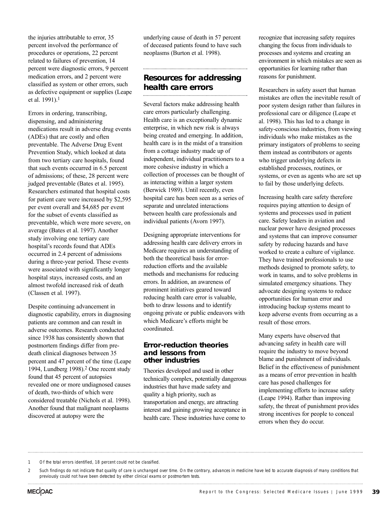the injuries attributable to error, 35 percent involved the performance of procedures or operations, 22 percent related to failures of prevention, 14 percent were diagnostic errors, 9 percent medication errors, and 2 percent were classified as system or other errors, such as defective equipment or supplies (Leape et al. 1991).1

Errors in ordering, transcribing, dispensing, and administering medications result in adverse drug events (ADEs) that are costly and often preventable. The Adverse Drug Event Prevention Study, which looked at data from two tertiary care hospitals, found that such events occurred in 6.5 percent of admissions; of these, 28 percent were judged preventable (Bates et al. 1995). Researchers estimated that hospital costs for patient care were increased by \$2,595 per event overall and \$4,685 per event for the subset of events classified as preventable, which were more severe, on average (Bates et al. 1997). Another study involving one tertiary care hospital's records found that ADEs occurred in 2.4 percent of admissions during a three-year period. These events were associated with significantly longer hospital stays, increased costs, and an almost twofold increased risk of death (Classen et al. 1997).

Despite continuing advancement in diagnostic capability, errors in diagnosing patients are common and can result in adverse outcomes. Research conducted since 1938 has consistently shown that postmortem findings differ from predeath clinical diagnoses between 35 percent and 47 percent of the time (Leape 1994, Lundberg 1998).2 One recent study found that 45 percent of autopsies revealed one or more undiagnosed causes of death, two-thirds of which were considered treatable (Nichols et al. 1998). Another found that malignant neoplasms discovered at autopsy were the

underlying cause of death in 57 percent of deceased patients found to have such neoplasms (Burton et al. 1998).

# **Resources for addressing health care errors**

Several factors make addressing health care errors particularly challenging. Health care is an exceptionally dynamic enterprise, in which new risk is always being created and emerging. In addition, health care is in the midst of a transition from a cottage industry made up of independent, individual practitioners to a more cohesive industry in which a collection of processes can be thought of as interacting within a larger system (Berwick 1989). Until recently, even hospital care has been seen as a series of separate and unrelated interactions between health care professionals and individual patients (Avorn 1997).

Designing appropriate interventions for addressing health care delivery errors in Medicare requires an understanding of both the theoretical basis for errorreduction efforts and the available methods and mechanisms for reducing errors. In addition, an awareness of prominent initiatives geared toward reducing health care error is valuable, both to draw lessons and to identify ongoing private or public endeavors with which Medicare's efforts might be coordinated.

#### **Error-reduction theories and lessons from other industries**

Theories developed and used in other technically complex, potentially dangerous industries that have made safety and quality a high priority, such as transportation and energy, are attracting interest and gaining growing acceptance in health care. These industries have come to

recognize that increasing safety requires changing the focus from individuals to processes and systems and creating an environment in which mistakes are seen as opportunities for learning rather than reasons for punishment.

Researchers in safety assert that human mistakes are often the inevitable result of poor system design rather than failures in professional care or diligence (Leape et al. 1998). This has led to a change in safety-conscious industries, from viewing individuals who make mistakes as the primary instigators of problems to seeing them instead as contributors or agents who trigger underlying defects in established processes, routines, or systems, or even as agents who are set up to fail by those underlying defects.

Increasing health care safety therefore requires paying attention to design of systems and processes used in patient care. Safety leaders in aviation and nuclear power have designed processes and systems that can improve consumer safety by reducing hazards and have worked to create a culture of vigilance. They have trained professionals to use methods designed to promote safety, to work in teams, and to solve problems in simulated emergency situations. They advocate designing systems to reduce opportunities for human error and introducing backup systems meant to keep adverse events from occurring as a result of those errors.

Many experts have observed that advancing safety in health care will require the industry to move beyond blame and punishment of individuals. Belief in the effectiveness of punishment as a means of error prevention in health care has posed challenges for implementing efforts to increase safety (Leape 1994). Rather than improving safety, the threat of punishment provides strong incentives for people to conceal errors when they do occur.

<sup>1</sup> Of the total errors identified, 18 percent could not be classified.

<sup>2</sup> Such findings do not indicate that quality of care is unchanged over time. On the contrary, advances in medicine have led to accurate diagnosis of many conditions that previously could not have been detected by either clinical exams or postmortem tests.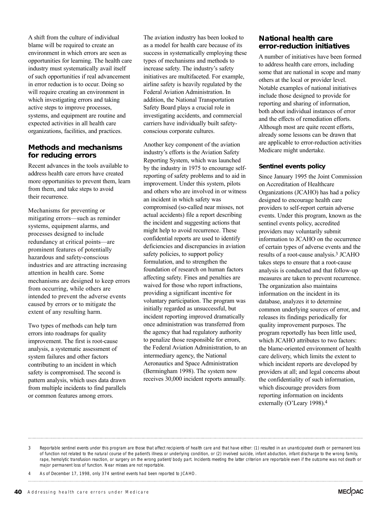A shift from the culture of individual blame will be required to create an environment in which errors are seen as opportunities for learning. The health care industry must systematically avail itself of such opportunities if real advancement in error reduction is to occur. Doing so will require creating an environment in which investigating errors and taking active steps to improve processes, systems, and equipment are routine and expected activities in all health care organizations, facilities, and practices.

# **Methods and mechanisms for reducing errors**

Recent advances in the tools available to address health care errors have created more opportunities to prevent them, learn from them, and take steps to avoid their recurrence.

Mechanisms for preventing or mitigating errors—such as reminder systems, equipment alarms, and processes designed to include redundancy at critical points—are prominent features of potentially hazardous and safety-conscious industries and are attracting increasing attention in health care. Some mechanisms are designed to keep errors from occurring, while others are intended to prevent the adverse events caused by errors or to mitigate the extent of any resulting harm.

Two types of methods can help turn errors into roadmaps for quality improvement. The first is root-cause analysis, a systematic assessment of system failures and other factors contributing to an incident in which safety is compromised. The second is pattern analysis, which uses data drawn from multiple incidents to find parallels or common features among errors.

The aviation industry has been looked to as a model for health care because of its success in systematically employing these types of mechanisms and methods to increase safety. The industry's safety initiatives are multifaceted. For example, airline safety is heavily regulated by the Federal Aviation Administration. In addition, the National Transportation Safety Board plays a crucial role in investigating accidents, and commercial carriers have individually built safetyconscious corporate cultures.

Another key component of the aviation industry's efforts is the Aviation Safety Reporting System, which was launched by the industry in 1975 to encourage selfreporting of safety problems and to aid in improvement. Under this system, pilots and others who are involved in or witness an incident in which safety was compromised (so-called near misses, not actual accidents) file a report describing the incident and suggesting actions that might help to avoid recurrence. These confidential reports are used to identify deficiencies and discrepancies in aviation safety policies, to support policy formulation, and to strengthen the foundation of research on human factors affecting safety. Fines and penalties are waived for those who report infractions, providing a significant incentive for voluntary participation. The program was initially regarded as unsuccessful, but incident reporting improved dramatically once administration was transferred from the agency that had regulatory authority to penalize those responsible for errors, the Federal Aviation Administration, to an intermediary agency, the National Aeronautics and Space Administration (Bermingham 1998). The system now receives 30,000 incident reports annually.

# **National health care error-reduction initiatives**

A number of initiatives have been formed to address health care errors, including some that are national in scope and many others at the local or provider level. Notable examples of national initiatives include those designed to provide for reporting and sharing of information, both about individual instances of error and the effects of remediation efforts. Although most are quite recent efforts, already some lessons can be drawn that are applicable to error-reduction activities Medicare might undertake.

# **Sentinel events policy**

Since January 1995 the Joint Commission on Accreditation of Healthcare Organizations (JCAHO) has had a policy designed to encourage health care providers to self-report certain adverse events. Under this program, known as the sentinel events policy, accredited providers may voluntarily submit information to JCAHO on the occurrence of certain types of adverse events and the results of a root-cause analysis.3 JCAHO takes steps to ensure that a root-cause analysis is conducted and that follow-up measures are taken to prevent recurrence. The organization also maintains information on the incident in its database, analyzes it to determine common underlying sources of error, and releases its findings periodically for quality improvement purposes. The program reportedly has been little used, which JCAHO attributes to two factors: the blame-oriented environment of health care delivery, which limits the extent to which incident reports are developed by providers at all; and legal concerns about the confidentiality of such information, which discourage providers from reporting information on incidents externally (O'Leary 1998).4

<sup>3</sup> Reportable sentinel events under this program are those that affect recipients of health care and that have either: (1) resulted in an unanticipated death or permanent loss of function not related to the natural course of the patient's illness or underlying condition, or (2) involved suicide, infant abduction, infant discharge to the wrong family, rape, hemolytic transfusion reaction, or surgery on the wrong patient/body part. Incidents meeting the latter criterion are reportable even if the outcome was not death or major permanent loss of function. Near misses are not reportable.

<sup>4</sup> As of December 17, 1998, only 374 sentinel events had been reported to JCAHO.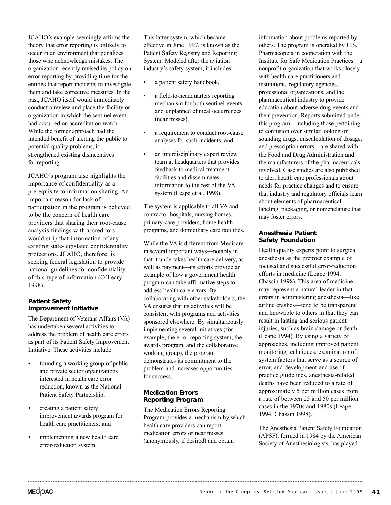JCAHO's example seemingly affirms the theory that error reporting is unlikely to occur in an environment that penalizes those who acknowledge mistakes. The organization recently revised its policy on error reporting by providing time for the entities that report incidents to investigate them and take corrective measures. In the past, JCAHO itself would immediately conduct a review and place the facility or organization in which the sentinel event had occurred on accreditation watch. While the former approach had the intended benefit of alerting the public to potential quality problems, it strengthened existing disincentives for reporting.

JCAHO's program also highlights the importance of confidentiality as a prerequisite to information sharing. An important reason for lack of participation in the program is believed to be the concern of health care providers that sharing their root-cause analysis findings with accreditors would strip that information of any existing state-legislated confidentiality protections. JCAHO, therefore, is seeking federal legislation to provide national guidelines for confidentiality of this type of information (O'Leary 1998).

#### **Patient Safety Improvement Initiative**

The Department of Veterans Affairs (VA) has undertaken several activities to address the problem of health care errors as part of its Patient Safety Improvement Initiative. These activities include:

- founding a working group of public and private sector organizations interested in health care error reduction, known as the National Patient Safety Partnership;
- creating a patient safety improvement awards program for health care practitioners; and
- implementing a new health care error-reduction system.

This latter system, which became effective in June 1997, is known as the Patient Safety Registry and Reporting System. Modeled after the aviation industry's safety system, it includes:

- a patient safety handbook,
- a field-to-headquarters reporting mechanism for both sentinel events and unplanned clinical occurrences (near misses),
- a requirement to conduct root-cause analyses for such incidents, and
- an interdisciplinary expert review team at headquarters that provides feedback to medical treatment facilities and disseminates information to the rest of the VA system (Leape et al. 1998).

The system is applicable to all VA and contractor hospitals, nursing homes, primary care providers, home health programs, and domiciliary care facilities.

While the VA is different from Medicare in several important ways—notably in that it undertakes health care delivery, as well as payment—its efforts provide an example of how a government health program can take affirmative steps to address health care errors. By collaborating with other stakeholders, the VA ensures that its activities will be consistent with programs and activities sponsored elsewhere. By simultaneously implementing several initiatives (for example, the error-reporting system, the awards program, and the collaborative working group), the program demonstrates its commitment to the problem and increases opportunities for success.

# **Medication Errors Reporting Program**

The Medication Errors Reporting Program provides a mechanism by which health care providers can report medication errors or near misses (anonymously, if desired) and obtain

information about problems reported by others. The program is operated by U.S. Pharmacopeia in cooperation with the Institute for Safe Medication Practices—a nonprofit organization that works closely with health care practitioners and institutions, regulatory agencies, professional organizations, and the pharmaceutical industry to provide education about adverse drug events and their prevention. Reports submitted under this program—including those pertaining to confusion over similar looking or sounding drugs, miscalculation of dosage, and prescription errors—are shared with the Food and Drug Administration and the manufacturers of the pharmaceuticals involved. Case studies are also published to alert health care professionals about needs for practice changes and to ensure that industry and regulatory officials learn about elements of pharmaceutical labeling, packaging, or nomenclature that may foster errors.

## **Anesthesia Patient Safety Foundation**

Health quality experts point to surgical anesthesia as the premier example of focused and successful error-reduction efforts in medicine (Leape 1994, Chassin 1998). This area of medicine may represent a natural leader in that errors in administering anesthesia—like airline crashes—tend to be transparent and knowable to others in that they can result in lasting and serious patient injuries, such as brain damage or death (Leape 1994). By using a variety of approaches, including improved patient monitoring techniques, examination of system factors that serve as a source of error, and development and use of practice guidelines, anesthesia-related deaths have been reduced to a rate of approximately 5 per million cases from a rate of between 25 and 50 per million cases in the 1970s and 1980s (Leape 1994, Chassin 1998).

The Anesthesia Patient Safety Foundation (APSF), formed in 1984 by the American Society of Anesthesiologists, has played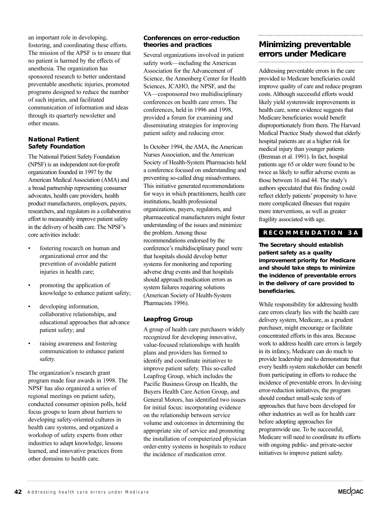an important role in developing, fostering, and coordinating these efforts. The mission of the APSF is to ensure that no patient is harmed by the effects of anesthesia. The organization has sponsored research to better understand preventable anesthetic injuries, promoted programs designed to reduce the number of such injuries, and facilitated communication of information and ideas through its quarterly newsletter and other means.

#### **National Patient Safety Foundation**

The National Patient Safety Foundation (NPSF) is an independent not-for-profit organization founded in 1997 by the American Medical Association (AMA) and a broad partnership representing consumer advocates, health care providers, health product manufacturers, employers, payers, researchers, and regulators in a collaborative effort to measurably improve patient safety in the delivery of health care. The NPSF's core activities include:

- fostering research on human and organizational error and the prevention of avoidable patient injuries in health care;
- promoting the application of knowledge to enhance patient safety;
- developing information. collaborative relationships, and educational approaches that advance patient safety; and
- raising awareness and fostering communication to enhance patient safety.

The organization's research grant program made four awards in 1998. The NPSF has also organized a series of regional meetings on patient safety, conducted consumer opinion polls, held focus groups to learn about barriers to developing safety-oriented cultures in health care systems, and organized a workshop of safety experts from other industries to adapt knowledge, lessons learned, and innovative practices from other domains to health care.

# **Conferences on error-reduction theories and practices**

Several organizations involved in patient safety work—including the American Association for the Advancement of Science, the Annenberg Center for Health Sciences, JCAHO, the NPSF, and the VA—cosponsored two multidisciplinary conferences on health care errors. The conferences, held in 1996 and 1998, provided a forum for examining and disseminating strategies for improving patient safety and reducing error.

In October 1994, the AMA, the American Nurses Association, and the American Society of Health-System Pharmacists held a conference focused on understanding and preventing so-called drug misadventures. This initiative generated recommendations for ways in which practitioners, health care institutions, health professional organizations, payers, regulators, and pharmaceutical manufacturers might foster understanding of the issues and minimize the problem. Among those recommendations endorsed by the conference's multidisciplinary panel were that hospitals should develop better systems for monitoring and reporting adverse drug events and that hospitals should approach medication errors as system failures requiring solutions (American Society of Health-System Pharmacists 1996).

# **Leapfrog Group**

A group of health care purchasers widely recognized for developing innovative, value-focused relationships with health plans and providers has formed to identify and coordinate initiatives to improve patient safety. This so-called Leapfrog Group, which includes the Pacific Business Group on Health, the Buyers Health Care Action Group, and General Motors, has identified two issues for initial focus: incorporating evidence on the relationship between service volume and outcomes in determining the appropriate site of service and promoting the installation of computerized physician order-entry systems in hospitals to reduce the incidence of medication error.

# **Minimizing preventable errors under Medicare**

Addressing preventable errors in the care provided to Medicare beneficiaries could improve quality of care and reduce program costs. Although successful efforts would likely yield systemwide improvements in health care, some evidence suggests that Medicare beneficiaries would benefit disproportionately from them. The Harvard Medical Practice Study showed that elderly hospital patients are at a higher risk for medical injury than younger patients (Brennan et al. 1991). In fact, hospital patients age 65 or older were found to be twice as likely to suffer adverse events as those between 16 and 44. The study's authors speculated that this finding could reflect elderly patients' propensity to have more complicated illnesses that require more interventions, as well as greater fragility associated with age.

# **RECOMMENDA TION 3A**

**The Secretary should establish patient safety as a quality improvement priority for Medicare and should take steps to minimize the incidence of preventable errors in the delivery of care provided to beneficiaries.** 

While responsibility for addressing health care errors clearly lies with the health care delivery system, Medicare, as a prudent purchaser, might encourage or facilitate concentrated efforts in this area. Because work to address health care errors is largely in its infancy, Medicare can do much to provide leadership and to demonstrate that every health system stakeholder can benefit from participating in efforts to reduce the incidence of preventable errors. In devising error-reduction initiatives, the program should conduct small-scale tests of approaches that have been developed for other industries as well as for health care before adopting approaches for programwide use. To be successful, Medicare will need to coordinate its efforts with ongoing public- and private-sector initiatives to improve patient safety.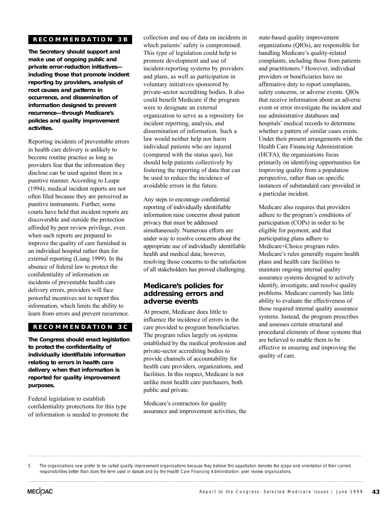## **RECOMMENDA TION 3B**

**The Secretary should support and make use of ongoing public and private error-reduction initiatives including those that promote incident reporting by providers, analysis of root causes and patterns in occurrence, and dissemination of information designed to prevent recurrence—through Medicare's policies and quality improvement activities.**

Reporting incidents of preventable errors in health care delivery is unlikely to become routine practice as long as providers fear that the information they disclose can be used against them in a punitive manner. According to Leape (1994), medical incident reports are not often filed because they are perceived as punitive instruments. Further, some courts have held that incident reports are discoverable and outside the protection afforded by peer review privilege, even when such reports are prepared to improve the quality of care furnished in an individual hospital rather than for external reporting (Liang 1999). In the absence of federal law to protect the confidentiality of information on incidents of preventable health care delivery errors, providers will face powerful incentives not to report this information, which limits the ability to learn from errors and prevent recurrence.

#### **RECOMMENDA TION 3C**

**The Congress should enact legislation to protect the confidentiality of individually identifiable information relating to errors in health care delivery when that information is reported for quality improvement purposes.**

Federal legislation to establish confidentiality protections for this type of information is needed to promote the collection and use of data on incidents in which patients' safety is compromised. This type of legislation could help to promote development and use of incident-reporting systems by providers and plans, as well as participation in voluntary initiatives sponsored by private-sector accrediting bodies. It also could benefit Medicare if the program were to designate an external organization to serve as a repository for incident reporting, analysis, and dissemination of information. Such a law would neither help nor harm individual patients who are injured (compared with the status quo), but should help patients collectively by fostering the reporting of data that can be used to reduce the incidence of avoidable errors in the future.

Any steps to encourage confidential reporting of individually identifiable information raise concerns about patient privacy that must be addressed simultaneously. Numerous efforts are under way to resolve concerns about the appropriate use of individually identifiable health and medical data; however, resolving those concerns to the satisfaction of all stakeholders has proved challenging.

# **Medicare's policies for addressing errors and adverse events**

At present, Medicare does little to influence the incidence of errors in the care provided to program beneficiaries. The program relies largely on systems established by the medical profession and private-sector accrediting bodies to provide channels of accountability for health care providers, organizations, and facilities. In this respect, Medicare is not unlike most health care purchasers, both public and private.

Medicare's contractors for quality assurance and improvement activities, the

state-based quality improvement organizations (QIOs), are responsible for handling Medicare's quality-related complaints, including those from patients and practitioners.5 However, individual providers or beneficiaries have no affirmative duty to report complaints, safety concerns, or adverse events. QIOs that receive information about an adverse event or error investigate the incident and use administrative databases and hospitals' medical records to determine whether a pattern of similar cases exists. Under their present arrangements with the Health Care Financing Administration (HCFA), the organizations focus primarily on identifying opportunities for improving quality from a population perspective, rather than on specific instances of substandard care provided in a particular incident.

Medicare also requires that providers adhere to the program's conditions of participation (COPs) in order to be eligible for payment, and that participating plans adhere to Medicare+Choice program rules. Medicare's rules generally require health plans and health care facilities to maintain ongoing internal quality assurance systems designed to actively identify, investigate, and resolve quality problems. Medicare currently has little ability to evaluate the effectiveness of those required internal quality assurance systems. Instead, the program prescribes and assesses certain structural and procedural elements of those systems that are believed to enable them to be effective in ensuring and improving the quality of care.

5 The organizations now prefer to be called quality improvement organizations because they believe this appellation denotes the scope and orientation of their current responsibilities better than does the term used in statute and by the Health Care Financing Administration: peer review organizations.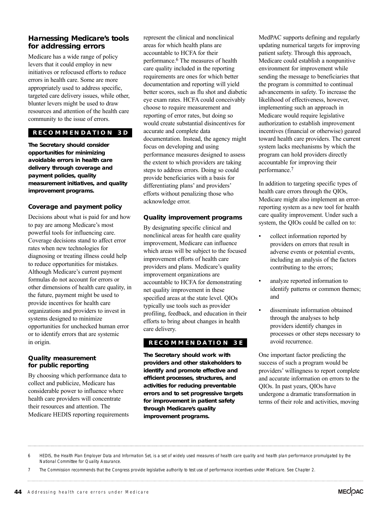# **Harnessing Medicare's tools for addressing errors**

Medicare has a wide range of policy levers that it could employ in new initiatives or refocused efforts to reduce errors in health care. Some are more appropriately used to address specific, targeted care delivery issues, while other, blunter levers might be used to draw resources and attention of the health care community to the issue of errors.

# **RECOMMENDA TION 3D**

**The Secretary should consider opportunities for minimizing avoidable errors in health care delivery through coverage and payment policies, quality measurement initiatives, and quality improvement programs.**

#### **Coverage and payment policy**

Decisions about what is paid for and how to pay are among Medicare's most powerful tools for influencing care. Coverage decisions stand to affect error rates when new technologies for diagnosing or treating illness could help to reduce opportunities for mistakes. Although Medicare's current payment formulas do not account for errors or other dimensions of health care quality, in the future, payment might be used to provide incentives for health care organizations and providers to invest in systems designed to minimize opportunities for unchecked human error or to identify errors that are systemic in origin.

#### **Quality measurement for public reporting**

By choosing which performance data to collect and publicize, Medicare has considerable power to influence where health care providers will concentrate their resources and attention. The Medicare HEDIS reporting requirements represent the clinical and nonclinical areas for which health plans are accountable to HCFA for their performance.6 The measures of health care quality included in the reporting requirements are ones for which better documentation and reporting will yield better scores, such as flu shot and diabetic eye exam rates. HCFA could conceivably choose to require measurement and reporting of error rates, but doing so would create substantial disincentives for accurate and complete data documentation. Instead, the agency might focus on developing and using performance measures designed to assess the extent to which providers are taking steps to address errors. Doing so could provide beneficiaries with a basis for differentiating plans' and providers' efforts without penalizing those who acknowledge error.

## **Quality improvement programs**

By designating specific clinical and nonclinical areas for health care quality improvement, Medicare can influence which areas will be subject to the focused improvement efforts of health care providers and plans. Medicare's quality improvement organizations are accountable to HCFA for demonstrating net quality improvement in these specified areas at the state level. QIOs typically use tools such as provider profiling, feedback, and education in their efforts to bring about changes in health care delivery.

# **RECOMMENDA TION 3E**

**The Secretary should work with providers and other stakeholders to identify and promote effective and efficient processes, structures, and activities for reducing preventable errors and to set progressive targets for improvement in patient safety through Medicare's quality improvement programs.** 

MedPAC supports defining and regularly updating numerical targets for improving patient safety. Through this approach, Medicare could establish a nonpunitive environment for improvement while sending the message to beneficiaries that the program is committed to continual advancements in safety. To increase the likelihood of effectiveness, however, implementing such an approach in Medicare would require legislative authorization to establish improvement incentives (financial or otherwise) geared toward health care providers. The current system lacks mechanisms by which the program can hold providers directly accountable for improving their performance.7

In addition to targeting specific types of health care errors through the QIOs, Medicare might also implement an errorreporting system as a new tool for health care quality improvement. Under such a system, the QIOs could be called on to:

- collect information reported by providers on errors that result in adverse events or potential events, including an analysis of the factors contributing to the errors;
- analyze reported information to identify patterns or common themes; and
- disseminate information obtained through the analyses to help providers identify changes in processes or other steps necessary to avoid recurrence.

One important factor predicting the success of such a program would be providers' willingness to report complete and accurate information on errors to the QIOs. In past years, QIOs have undergone a dramatic transformation in terms of their role and activities, moving

<sup>6</sup> HEDIS, the Health Plan Employer Data and Information Set, is a set of widely used measures of health care quality and health plan performance promulgated by the National Committee for Quality Assurance.

<sup>7</sup> The Commission recommends that the Congress provide legislative authority to test use of performance incentives under Medicare. See Chapter 2.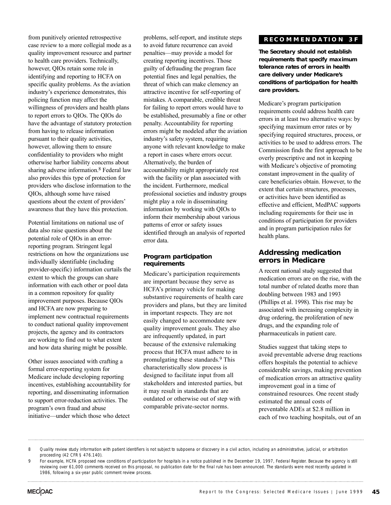from punitively oriented retrospective case review to a more collegial mode as a quality improvement resource and partner to health care providers. Technically, however, QIOs retain some role in identifying and reporting to HCFA on specific quality problems. As the aviation industry's experience demonstrates, this policing function may affect the willingness of providers and health plans to report errors to QIOs. The QIOs do have the advantage of statutory protection from having to release information pursuant to their quality activities, however, allowing them to ensure confidentiality to providers who might otherwise harbor liability concerns about sharing adverse information.8 Federal law also provides this type of protection for providers who disclose information to the QIOs, although some have raised questions about the extent of providers' awareness that they have this protection.

Potential limitations on national use of data also raise questions about the potential role of QIOs in an errorreporting program. Stringent legal restrictions on how the organizations use individually identifiable (including provider-specific) information curtails the extent to which the groups can share information with each other or pool data in a common repository for quality improvement purposes. Because QIOs and HCFA are now preparing to implement new contractual requirements to conduct national quality improvement projects, the agency and its contractors are working to find out to what extent and how data sharing might be possible.

Other issues associated with crafting a formal error-reporting system for Medicare include developing reporting incentives, establishing accountability for reporting, and disseminating information to support error-reduction activities. The program's own fraud and abuse initiative—under which those who detect

problems, self-report, and institute steps to avoid future recurrence can avoid penalties—may provide a model for creating reporting incentives. Those guilty of defrauding the program face potential fines and legal penalties, the threat of which can make clemency an attractive incentive for self-reporting of mistakes. A comparable, credible threat for failing to report errors would have to be established, presumably a fine or other penalty. Accountability for reporting errors might be modeled after the aviation industry's safety system, requiring anyone with relevant knowledge to make a report in cases where errors occur. Alternatively, the burden of accountability might appropriately rest with the facility or plan associated with the incident. Furthermore, medical professional societies and industry groups might play a role in disseminating information by working with QIOs to inform their membership about various patterns of error or safety issues identified through an analysis of reported error data.

#### **Program participation requirements**

Medicare's participation requirements are important because they serve as HCFA's primary vehicle for making substantive requirements of health care providers and plans, but they are limited in important respects. They are not easily changed to accommodate new quality improvement goals. They also are infrequently updated, in part because of the extensive rulemaking process that HCFA must adhere to in promulgating these standards.9 This characteristically slow process is designed to facilitate input from all stakeholders and interested parties, but it may result in standards that are outdated or otherwise out of step with comparable private-sector norms.

# **RECOMMENDA TION 3F**

**The Secretary should not establish requirements that specify maximum tolerance rates of errors in health care delivery under Medicare's conditions of participation for health care providers.** 

Medicare's program participation requirements could address health care errors in at least two alternative ways: by specifying maximum error rates or by specifying required structures, process, or activities to be used to address errors. The Commission finds the first approach to be overly prescriptive and not in keeping with Medicare's objective of promoting constant improvement in the quality of care beneficiaries obtain. However, to the extent that certain structures, processes, or activities have been identified as effective and efficient, MedPAC supports including requirements for their use in conditions of participation for providers and in program participation rules for health plans.

# **Addressing medication errors in Medicare**

A recent national study suggested that medication errors are on the rise, with the total number of related deaths more than doubling between 1983 and 1993 (Phillips et al. 1998). This rise may be associated with increasing complexity in drug ordering, the proliferation of new drugs, and the expanding role of pharmaceuticals in patient care.

Studies suggest that taking steps to avoid preventable adverse drug reactions offers hospitals the potential to achieve considerable savings, making prevention of medication errors an attractive quality improvement goal in a time of constrained resources. One recent study estimated the annual costs of preventable ADEs at \$2.8 million in each of two teaching hospitals, out of an

8 Quality review study information with patient identifiers is not subject to subpoena or discovery in a civil action, including an administrative, judicial, or arbitration proceeding (42 CFR § 476.140).

For example, HCFA proposed new conditions of participation for hospitals in a notice published in the December 19, 1997, Federal Register. Because the agency is still reviewing over 61,000 comments received on this proposal, no publication date for the final rule has been announced. The standards were most recently updated in 1986, following a six-year public comment review process.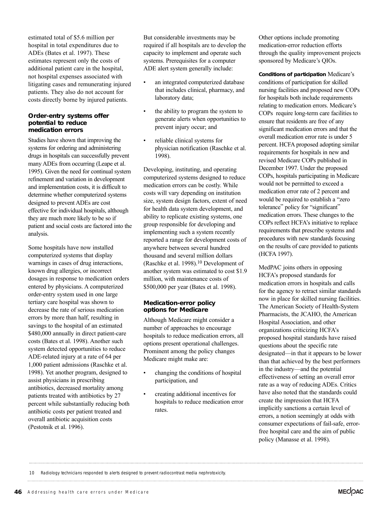estimated total of \$5.6 million per hospital in total expenditures due to ADEs (Bates et al. 1997). These estimates represent only the costs of additional patient care in the hospital, not hospital expenses associated with litigating cases and remunerating injured patients. They also do not account for costs directly borne by injured patients.

#### **Order-entry systems offer potential to reduce medication errors**

Studies have shown that improving the systems for ordering and administering drugs in hospitals can successfully prevent many ADEs from occurring (Leape et al. 1995). Given the need for continual system refinement and variation in development and implementation costs, it is difficult to determine whether computerized systems designed to prevent ADEs are cost effective for individual hospitals, although they are much more likely to be so if patient and social costs are factored into the analysis.

Some hospitals have now installed computerized systems that display warnings in cases of drug interactions, known drug allergies, or incorrect dosages in response to medication orders entered by physicians. A computerized order-entry system used in one large tertiary care hospital was shown to decrease the rate of serious medication errors by more than half, resulting in savings to the hospital of an estimated \$480,000 annually in direct patient-care costs (Bates et al. 1998). Another such system detected opportunities to reduce ADE-related injury at a rate of 64 per 1,000 patient admissions (Raschke et al. 1998). Yet another program, designed to assist physicians in prescribing antibiotics, decreased mortality among patients treated with antibiotics by 27 percent while substantially reducing both antibiotic costs per patient treated and overall antibiotic acquisition costs (Pestotnik et al. 1996).

But considerable investments may be required if all hospitals are to develop the capacity to implement and operate such systems. Prerequisites for a computer ADE alert system generally include:

- an integrated computerized database that includes clinical, pharmacy, and laboratory data;
- the ability to program the system to generate alerts when opportunities to prevent injury occur; and
- reliable clinical systems for physician notification (Raschke et al. 1998).

Developing, instituting, and operating computerized systems designed to reduce medication errors can be costly. While costs will vary depending on institution size, system design factors, extent of need for health data system development, and ability to replicate existing systems, one group responsible for developing and implementing such a system recently reported a range for development costs of anywhere between several hundred thousand and several million dollars (Raschke et al. 1998).10 Development of another system was estimated to cost \$1.9 million, with maintenance costs of \$500,000 per year (Bates et al. 1998).

#### **Medication-error policy options for Medicare**

Although Medicare might consider a number of approaches to encourage hospitals to reduce medication errors, all options present operational challenges. Prominent among the policy changes Medicare might make are:

- changing the conditions of hospital participation, and
- creating additional incentives for hospitals to reduce medication error rates.

Other options include promoting medication-error reduction efforts through the quality improvement projects sponsored by Medicare's QIOs.

**Conditions of participation** Medicare's conditions of participation for skilled nursing facilities and proposed new COPs for hospitals both include requirements relating to medication errors. Medicare's COPs require long-term care facilities to ensure that residents are free of any significant medication errors and that the overall medication error rate is under 5 percent. HCFA proposed adopting similar requirements for hospitals in new and revised Medicare COPs published in December 1997. Under the proposed COPs, hospitals participating in Medicare would not be permitted to exceed a medication error rate of 2 percent and would be required to establish a "zero tolerance" policy for "significant" medication errors. These changes to the COPs reflect HCFA's initiative to replace requirements that prescribe systems and procedures with new standards focusing on the results of care provided to patients (HCFA 1997).

MedPAC joins others in opposing HCFA's proposed standards for medication errors in hospitals and calls for the agency to retract similar standards now in place for skilled nursing facilities. The American Society of Health-System Pharmacists, the JCAHO, the American Hospital Association, and other organizations criticizing HCFA's proposed hospital standards have raised questions about the specific rate designated—in that it appears to be lower than that achieved by the best performers in the industry—and the potential effectiveness of setting an overall error rate as a way of reducing ADEs. Critics have also noted that the standards could create the impression that HCFA implicitly sanctions a certain level of errors, a notion seemingly at odds with consumer expectations of fail-safe, errorfree hospital care and the aim of public policy (Manasse et al. 1998).

10 Radiology technicians responded to alerts designed to prevent radiocontrast media nephrotoxicity.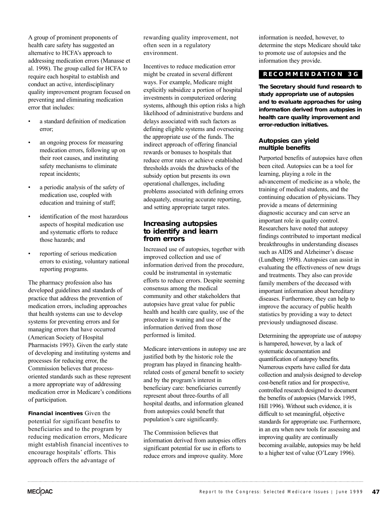A group of prominent proponents of health care safety has suggested an alternative to HCFA's approach to addressing medication errors (Manasse et al. 1998). The group called for HCFA to require each hospital to establish and conduct an active, interdisciplinary quality improvement program focused on preventing and eliminating medication error that includes:

- a standard definition of medication error;
- an ongoing process for measuring medication errors, following up on their root causes, and instituting safety mechanisms to eliminate repeat incidents;
- a periodic analysis of the safety of medication use, coupled with education and training of staff;
- identification of the most hazardous aspects of hospital medication use and systematic efforts to reduce those hazards; and
- reporting of serious medication errors to existing, voluntary national reporting programs.

The pharmacy profession also has developed guidelines and standards of practice that address the prevention of medication errors, including approaches that health systems can use to develop systems for preventing errors and for managing errors that have occurred (American Society of Hospital Pharmacists 1993). Given the early state of developing and instituting systems and processes for reducing error, the Commission believes that processoriented standards such as these represent a more appropriate way of addressing medication error in Medicare's conditions of participation.

**Financial incentives** Given the potential for significant benefits to beneficiaries and to the program by reducing medication errors, Medicare might establish financial incentives to encourage hospitals' efforts. This approach offers the advantage of

rewarding quality improvement, not often seen in a regulatory environment.

Incentives to reduce medication error might be created in several different ways. For example, Medicare might explicitly subsidize a portion of hospital investments in computerized ordering systems, although this option risks a high likelihood of administrative burdens and delays associated with such factors as defining eligible systems and overseeing the appropriate use of the funds. The indirect approach of offering financial rewards or bonuses to hospitals that reduce error rates or achieve established thresholds avoids the drawbacks of the subsidy option but presents its own operational challenges, including problems associated with defining errors adequately, ensuring accurate reporting, and setting appropriate target rates.

# **Increasing autopsies to identify and learn from errors**

Increased use of autopsies, together with improved collection and use of information derived from the procedure, could be instrumental in systematic efforts to reduce errors. Despite seeming consensus among the medical community and other stakeholders that autopsies have great value for public health and health care quality, use of the procedure is waning and use of the information derived from those performed is limited.

Medicare interventions in autopsy use are justified both by the historic role the program has played in financing healthrelated costs of general benefit to society and by the program's interest in beneficiary care: beneficiaries currently represent about three-fourths of all hospital deaths, and information gleaned from autopsies could benefit that population's care significantly.

The Commission believes that information derived from autopsies offers significant potential for use in efforts to reduce errors and improve quality. More

information is needed, however, to determine the steps Medicare should take to promote use of autopsies and the information they provide.

# **RECOMMENDA TION 3G**

**The Secretary should fund research to study appropriate use of autopsies and to evaluate approaches for using information derived from autopsies in health care quality improvement and error-reduction initiatives.**

#### **Autopsies can yield multiple benefits**

Purported benefits of autopsies have often been cited. Autopsies can be a tool for learning, playing a role in the advancement of medicine as a whole, the training of medical students, and the continuing education of physicians. They provide a means of determining diagnostic accuracy and can serve an important role in quality control. Researchers have noted that autopsy findings contributed to important medical breakthroughs in understanding diseases such as AIDS and Alzheimer's disease (Lundberg 1998). Autopsies can assist in evaluating the effectiveness of new drugs and treatments. They also can provide family members of the deceased with important information about hereditary diseases. Furthermore, they can help to improve the accuracy of public health statistics by providing a way to detect previously undiagnosed disease.

Determining the appropriate use of autopsy is hampered, however, by a lack of systematic documentation and quantification of autopsy benefits. Numerous experts have called for data collection and analysis designed to develop cost-benefit ratios and for prospective, controlled research designed to document the benefits of autopsies (Marwick 1995, Hill 1996). Without such evidence, it is difficult to set meaningful, objective standards for appropriate use. Furthermore, in an era when new tools for assessing and improving quality are continually becoming available, autopsies may be held to a higher test of value (O'Leary 1996).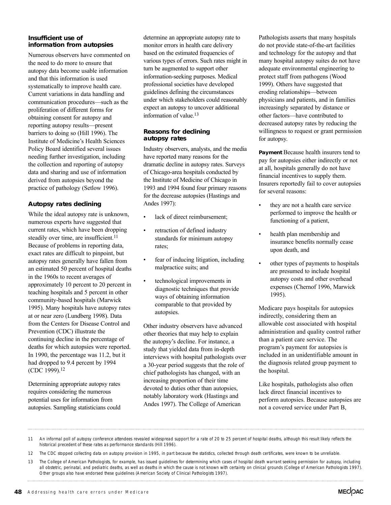#### **Insufficient use of information from autopsies**

Numerous observers have commented on the need to do more to ensure that autopsy data become usable information and that this information is used systematically to improve health care. Current variations in data handling and communication procedures—such as the proliferation of different forms for obtaining consent for autopsy and reporting autopsy results—present barriers to doing so (Hill 1996). The Institute of Medicine's Health Sciences Policy Board identified several issues needing further investigation, including the collection and reporting of autopsy data and sharing and use of information derived from autopsies beyond the practice of pathology (Setlow 1996).

## **Autopsy rates declining**

While the ideal autopsy rate is unknown, numerous experts have suggested that current rates, which have been dropping steadily over time, are insufficient.<sup>11</sup> Because of problems in reporting data, exact rates are difficult to pinpoint, but autopsy rates generally have fallen from an estimated 50 percent of hospital deaths in the 1960s to recent averages of approximately 10 percent to 20 percent in teaching hospitals and 5 percent in other community-based hospitals (Marwick 1995). Many hospitals have autopsy rates at or near zero (Lundberg 1998). Data from the Centers for Disease Control and Prevention (CDC) illustrate the continuing decline in the percentage of deaths for which autopsies were reported. In 1990, the percentage was 11.2, but it had dropped to 9.4 percent by 1994 (CDC 1999).12

Determining appropriate autopsy rates requires considering the numerous potential uses for information from autopsies. Sampling statisticians could determine an appropriate autopsy rate to monitor errors in health care delivery based on the estimated frequencies of various types of errors. Such rates might in turn be augmented to support other information-seeking purposes. Medical professional societies have developed guidelines defining the circumstances under which stakeholders could reasonably expect an autopsy to uncover additional information of value.13

#### **Reasons for declining autopsy rates**

Industry observers, analysts, and the media have reported many reasons for the dramatic decline in autopsy rates. Surveys of Chicago-area hospitals conducted by the Institute of Medicine of Chicago in 1993 and 1994 found four primary reasons for the decrease autopsies (Hastings and Andes 1997):

- lack of direct reimbursement;
- retraction of defined industry standards for minimum autopsy rates;
- fear of inducing litigation, including malpractice suits; and
- technological improvements in diagnostic techniques that provide ways of obtaining information comparable to that provided by autopsies.

Other industry observers have advanced other theories that may help to explain the autopsy's decline. For instance, a study that yielded data from in-depth interviews with hospital pathologists over a 30-year period suggests that the role of chief pathologists has changed, with an increasing proportion of their time devoted to duties other than autopsies, notably laboratory work (Hastings and Andes 1997). The College of American

Pathologists asserts that many hospitals do not provide state-of-the-art facilities and technology for the autopsy and that many hospital autopsy suites do not have adequate environmental engineering to protect staff from pathogens (Wood 1999). Others have suggested that eroding relationships—between physicians and patients, and in families increasingly separated by distance or other factors—have contributed to decreased autopsy rates by reducing the willingness to request or grant permission for autopsy.

**Payment** Because health insurers tend to pay for autopsies either indirectly or not at all, hospitals generally do not have financial incentives to supply them. Insurers reportedly fail to cover autopsies for several reasons:

- they are not a health care service performed to improve the health or functioning of a patient,
- health plan membership and insurance benefits normally cease upon death, and
- other types of payments to hospitals are presumed to include hospital autopsy costs and other overhead expenses (Chernof 1996, Marwick 1995).

Medicare pays hospitals for autopsies indirectly, considering them an allowable cost associated with hospital administration and quality control rather than a patient care service. The program's payment for autopsies is included in an unidentifiable amount in the diagnosis related group payment to the hospital.

Like hospitals, pathologists also often lack direct financial incentives to perform autopsies. Because autopsies are not a covered service under Part B,

11 An informal poll of autopsy conference attendees revealed widespread support for a rate of 20 to 25 percent of hospital deaths, although this result likely reflects the historical precedent of these rates as performance standards (Hill 1996).

12 The CDC stopped collecting data on autopsy provision in 1995, in part because the statistics, collected through death certificates, were known to be unreliable.

13 The College of American Pathologists, for example, has issued guidelines for determining which cases of hospital death warrant seeking permission for autopsy, including all obstetric, perinatal, and pediatric deaths, as well as deaths in which the cause is not known with certainty on clinical grounds (College of American Pathologists 1997). Other groups also have endorsed these guidelines (American Society of Clinical Pathologists 1997).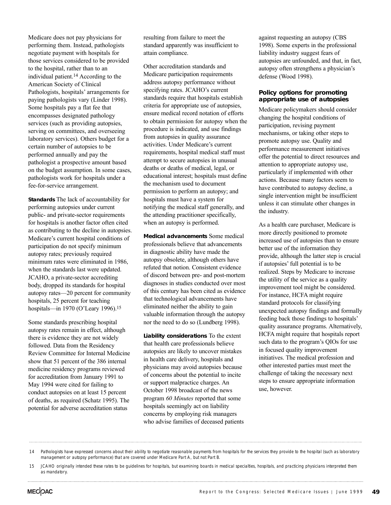Medicare does not pay physicians for performing them. Instead, pathologists negotiate payment with hospitals for those services considered to be provided to the hospital, rather than to an individual patient.14 According to the American Society of Clinical Pathologists, hospitals' arrangements for paying pathologists vary (Linder 1998). Some hospitals pay a flat fee that encompasses designated pathology services (such as providing autopsies, serving on committees, and overseeing laboratory services). Others budget for a certain number of autopsies to be performed annually and pay the pathologist a prospective amount based on the budget assumption. In some cases, pathologists work for hospitals under a fee-for-service arrangement.

**Standards** The lack of accountability for performing autopsies under current public- and private-sector requirements for hospitals is another factor often cited as contributing to the decline in autopsies. Medicare's current hospital conditions of participation do not specify minimum autopsy rates; previously required minimum rates were eliminated in 1986, when the standards last were updated. JCAHO, a private-sector accrediting body, dropped its standards for hospital autopsy rates—20 percent for community hospitals, 25 percent for teaching hospitals—in 1970 (O'Leary 1996).15

Some standards prescribing hospital autopsy rates remain in effect, although there is evidence they are not widely followed. Data from the Residency Review Committee for Internal Medicine show that 51 percent of the 386 internal medicine residency programs reviewed for accreditation from January 1991 to May 1994 were cited for failing to conduct autopsies on at least 15 percent of deaths, as required (Schatz 1995). The potential for adverse accreditation status

resulting from failure to meet the standard apparently was insufficient to attain compliance.

Other accreditation standards and Medicare participation requirements address autopsy performance without specifying rates. JCAHO's current standards require that hospitals establish criteria for appropriate use of autopsies, ensure medical record notation of efforts to obtain permission for autopsy when the procedure is indicated, and use findings from autopsies in quality assurance activities. Under Medicare's current requirements, hospital medical staff must attempt to secure autopsies in unusual deaths or deaths of medical, legal, or educational interest; hospitals must define the mechanism used to document permission to perform an autopsy; and hospitals must have a system for notifying the medical staff generally, and the attending practitioner specifically, when an autopsy is performed.

**Medical advancements** Some medical professionals believe that advancements in diagnostic ability have made the autopsy obsolete, although others have refuted that notion. Consistent evidence of discord between pre- and post-mortem diagnoses in studies conducted over most of this century has been cited as evidence that technological advancements have eliminated neither the ability to gain valuable information through the autopsy nor the need to do so (Lundberg 1998).

**Liability considerations** To the extent that health care professionals believe autopsies are likely to uncover mistakes in health care delivery, hospitals and physicians may avoid autopsies because of concerns about the potential to incite or support malpractice charges. An October 1998 broadcast of the news program *60 Minutes* reported that some hospitals seemingly act on liability concerns by employing risk managers who advise families of deceased patients

against requesting an autopsy (CBS 1998). Some experts in the professional liability industry suggest fears of autopsies are unfounded, and that, in fact, autopsy often strengthens a physician's defense (Wood 1998).

#### **Policy options for promoting appropriate use of autopsies**

Medicare policymakers should consider changing the hospital conditions of participation, revising payment mechanisms, or taking other steps to promote autopsy use. Quality and performance measurement initiatives offer the potential to direct resources and attention to appropriate autopsy use, particularly if implemented with other actions. Because many factors seem to have contributed to autopsy decline, a single intervention might be insufficient unless it can stimulate other changes in the industry.

As a health care purchaser, Medicare is more directly positioned to promote increased use of autopsies than to ensure better use of the information they provide, although the latter step is crucial if autopsies' full potential is to be realized. Steps by Medicare to increase the utility of the service as a quality improvement tool might be considered. For instance, HCFA might require standard protocols for classifying unexpected autopsy findings and formally feeding back those findings to hospitals' quality assurance programs. Alternatively, HCFA might require that hospitals report such data to the program's QIOs for use in focused quality improvement initiatives. The medical profession and other interested parties must meet the challenge of taking the necessary next steps to ensure appropriate information use, however.

<sup>14</sup> Pathologists have expressed concerns about their ability to negotiate reasonable payments from hospitals for the services they provide to the hospital (such as laboratory management or autopsy performance) that are covered under Medicare Part A, but not Part B.

<sup>15</sup> JCAHO originally intended these rates to be guidelines for hospitals, but examining boards in medical specialties, hospitals, and practicing physicians interpreted them as mandatory.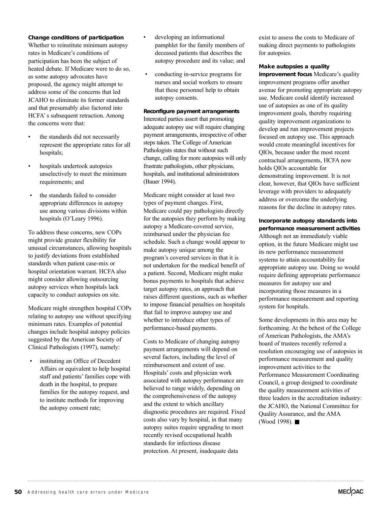#### **Change conditions of participation**

Whether to reinstitute minimum autopsy rates in Medicare's conditions of participation has been the subject of heated debate. If Medicare were to do so, as some autopsy advocates have proposed, the agency might attempt to address some of the concerns that led JCAHO to eliminate its former standards and that presumably also factored into HCFA's subsequent retraction. Among the concerns were that:

- the standards did not necessarily represent the appropriate rates for all hospitals;
- hospitals undertook autopsies unselectively to meet the minimum requirements; and
- the standards failed to consider appropriate differences in autopsy use among various divisions within hospitals (O'Leary 1996).

To address these concerns, new COPs might provide greater flexibility for unusual circumstances, allowing hospitals to justify deviations from established standards when patient case-mix or hospital orientation warrant. HCFA also might consider allowing outsourcing autopsy services when hospitals lack capacity to conduct autopsies on site.

Medicare might strengthen hospital COPs relating to autopsy use without specifying minimum rates. Examples of potential changes include hospital autopsy policies suggested by the American Society of Clinical Pathologists (1997), namely:

instituting an Office of Decedent Affairs or equivalent to help hospital staff and patients' families cope with death in the hospital, to prepare families for the autopsy request, and to institute methods for improving the autopsy consent rate;

- developing an informational pamphlet for the family members of deceased patients that describes the autopsy procedure and its value; and
- conducting in-service programs for nurses and social workers to ensure that these personnel help to obtain autopsy consents.

#### **Reconfigure payment arrangements**

Interested parties assert that promoting adequate autopsy use will require changing payment arrangements, irrespective of other steps taken. The College of American Pathologists states that without such change, calling for more autopsies will only frustrate pathologists, other physicians, hospitals, and institutional administrators (Bauer 1994).

Medicare might consider at least two types of payment changes. First, Medicare could pay pathologists directly for the autopsies they perform by making autopsy a Medicare-covered service, reimbursed under the physician fee schedule. Such a change would appear to make autopsy unique among the program's covered services in that it is not undertaken for the medical benefit of a patient. Second, Medicare might make bonus payments to hospitals that achieve target autopsy rates, an approach that raises different questions, such as whether to impose financial penalties on hospitals that fail to improve autopsy use and whether to introduce other types of performance-based payments.

Costs to Medicare of changing autopsy payment arrangements will depend on several factors, including the level of reimbursement and extent of use. Hospitals' costs and physician work associated with autopsy performance are believed to range widely, depending on the comprehensiveness of the autopsy and the extent to which ancillary diagnostic procedures are required. Fixed costs also vary by hospital, in that many autopsy suites require upgrading to meet recently revised occupational health standards for infectious disease protection. At present, inadequate data

exist to assess the costs to Medicare of making direct payments to pathologists for autopsies.

#### **Make autopsies a quality**

**improvement focus** Medicare's quality improvement programs offer another avenue for promoting appropriate autopsy use. Medicare could identify increased use of autopsies as one of its quality improvement goals, thereby requiring quality improvement organizations to develop and run improvement projects focused on autopsy use. This approach would create meaningful incentives for QIOs, because under the most recent contractual arrangements, HCFA now holds QIOs accountable for demonstrating improvement. It is not clear, however, that QIOs have sufficient leverage with providers to adequately address or overcome the underlying reasons for the decline in autopsy rates.

#### **Incorporate autopsy standards into performance measurement activities**

Although not an immediately viable option, in the future Medicare might use its new performance measurement systems to attain accountability for appropriate autopsy use. Doing so would require defining appropriate performance measures for autopsy use and incorporating those measures in a performance measurement and reporting system for hospitals.

Some developments in this area may be forthcoming. At the behest of the College of American Pathologists, the AMA's board of trustees recently referred a resolution encouraging use of autopsies in performance measurement and quality improvement activities to the Performance Measurement Coordinating Council, a group designed to coordinate the quality measurement activities of three leaders in the accreditation industry: the JCAHO, the National Committee for Quality Assurance, and the AMA (Wood 1998). ■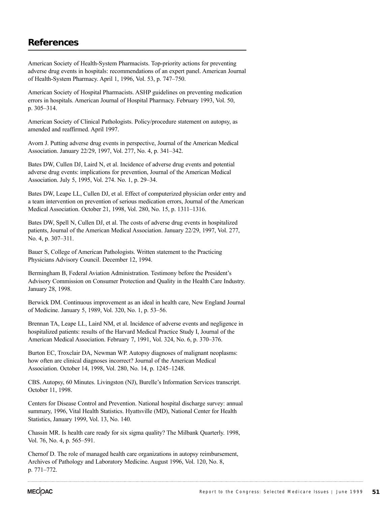# **References**

American Society of Health-System Pharmacists. Top-priority actions for preventing adverse drug events in hospitals: recommendations of an expert panel. American Journal of Health-System Pharmacy. April 1, 1996, Vol. 53, p. 747–750.

American Society of Hospital Pharmacists. ASHP guidelines on preventing medication errors in hospitals. American Journal of Hospital Pharmacy. February 1993, Vol. 50, p. 305–314.

American Society of Clinical Pathologists. Policy/procedure statement on autopsy, as amended and reaffirmed. April 1997.

Avorn J. Putting adverse drug events in perspective, Journal of the American Medical Association. January 22/29, 1997, Vol. 277, No. 4, p. 341–342.

Bates DW, Cullen DJ, Laird N, et al. Incidence of adverse drug events and potential adverse drug events: implications for prevention, Journal of the American Medical Association. July 5, 1995, Vol. 274. No. 1, p. 29–34.

Bates DW, Leape LL, Cullen DJ, et al. Effect of computerized physician order entry and a team intervention on prevention of serious medication errors, Journal of the American Medical Association. October 21, 1998, Vol. 280, No. 15, p. 1311–1316.

Bates DW, Spell N, Cullen DJ, et al. The costs of adverse drug events in hospitalized patients, Journal of the American Medical Association. January 22/29, 1997, Vol. 277, No. 4, p. 307–311.

Bauer S, College of American Pathologists. Written statement to the Practicing Physicians Advisory Council. December 12, 1994.

Bermingham B, Federal Aviation Administration. Testimony before the President's Advisory Commission on Consumer Protection and Quality in the Health Care Industry. January 28, 1998.

Berwick DM. Continuous improvement as an ideal in health care, New England Journal of Medicine. January 5, 1989, Vol. 320, No. 1, p. 53–56.

Brennan TA, Leape LL, Laird NM, et al. Incidence of adverse events and negligence in hospitalized patients: results of the Harvard Medical Practice Study I, Journal of the American Medical Association. February 7, 1991, Vol. 324, No. 6, p. 370–376.

Burton EC, Troxclair DA, Newman WP. Autopsy diagnoses of malignant neoplasms: how often are clinical diagnoses incorrect? Journal of the American Medical Association. October 14, 1998, Vol. 280, No. 14, p. 1245–1248.

CBS. Autopsy, 60 Minutes. Livingston (NJ), Burelle's Information Services transcript. October 11, 1998.

Centers for Disease Control and Prevention. National hospital discharge survey: annual summary, 1996, Vital Health Statistics. Hyattsville (MD), National Center for Health Statistics, January 1999, Vol. 13, No. 140.

Chassin MR. Is health care ready for six sigma quality? The Milbank Quarterly. 1998, Vol. 76, No. 4, p. 565–591.

Chernof D. The role of managed health care organizations in autopsy reimbursement, Archives of Pathology and Laboratory Medicine. August 1996, Vol. 120, No. 8, p. 771–772.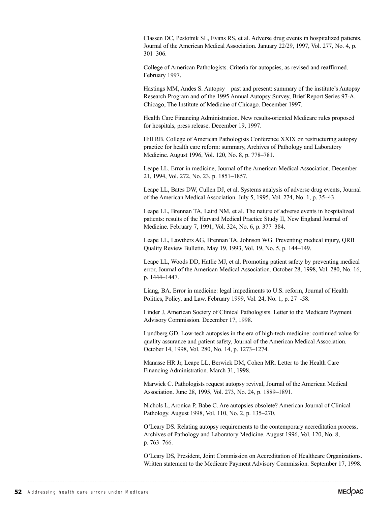Classen DC, Pestotnik SL, Evans RS, et al. Adverse drug events in hospitalized patients, Journal of the American Medical Association. January 22/29, 1997, Vol. 277, No. 4, p. 301–306.

College of American Pathologists. Criteria for autopsies, as revised and reaffirmed. February 1997.

Hastings MM, Andes S. Autopsy—past and present: summary of the institute's Autopsy Research Program and of the 1995 Annual Autopsy Survey, Brief Report Series 97-A. Chicago, The Institute of Medicine of Chicago. December 1997.

Health Care Financing Administration. New results-oriented Medicare rules proposed for hospitals, press release. December 19, 1997.

Hill RB. College of American Pathologists Conference XXIX on restructuring autopsy practice for health care reform: summary, Archives of Pathology and Laboratory Medicine. August 1996, Vol. 120, No. 8, p. 778–781.

Leape LL. Error in medicine, Journal of the American Medical Association. December 21, 1994, Vol. 272, No. 23, p. 1851–1857.

Leape LL, Bates DW, Cullen DJ, et al. Systems analysis of adverse drug events, Journal of the American Medical Association. July 5, 1995, Vol. 274, No. 1, p. 35–43.

Leape LL, Brennan TA, Laird NM, et al. The nature of adverse events in hospitalized patients: results of the Harvard Medical Practice Study II, New England Journal of Medicine. February 7, 1991, Vol. 324, No. 6, p. 377–384.

Leape LL, Lawthers AG, Brennan TA, Johnson WG. Preventing medical injury, QRB Quality Review Bulletin. May 19, 1993, Vol. 19, No. 5, p. 144–149.

Leape LL, Woods DD, Hatlie MJ, et al. Promoting patient safety by preventing medical error, Journal of the American Medical Association. October 28, 1998, Vol. 280, No. 16, p. 1444–1447.

Liang, BA. Error in medicine: legal impediments to U.S. reform, Journal of Health Politics, Policy, and Law. February 1999, Vol. 24, No. 1, p. 27–-58.

Linder J, American Society of Clinical Pathologists. Letter to the Medicare Payment Advisory Commission. December 17, 1998.

Lundberg GD. Low-tech autopsies in the era of high-tech medicine: continued value for quality assurance and patient safety, Journal of the American Medical Association. October 14, 1998, Vol. 280, No. 14, p. 1273–1274.

Manasse HR Jr, Leape LL, Berwick DM, Cohen MR. Letter to the Health Care Financing Administration. March 31, 1998.

Marwick C. Pathologists request autopsy revival, Journal of the American Medical Association. June 28, 1995, Vol. 273, No. 24, p. 1889–1891.

Nichols L, Aronica P, Babe C. Are autopsies obsolete? American Journal of Clinical Pathology. August 1998, Vol. 110, No. 2, p. 135–270.

O'Leary DS. Relating autopsy requirements to the contemporary accreditation process, Archives of Pathology and Laboratory Medicine. August 1996, Vol. 120, No. 8, p. 763–766.

O'Leary DS, President, Joint Commission on Accreditation of Healthcare Organizations. Written statement to the Medicare Payment Advisory Commission. September 17, 1998.